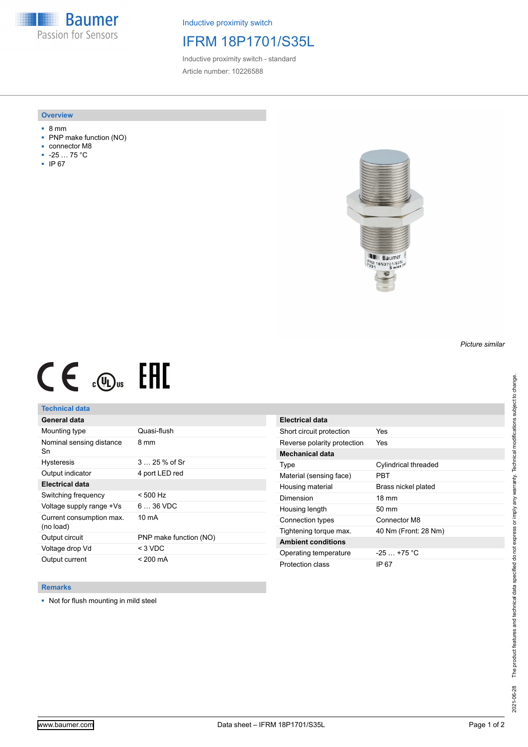**Baumer** Passion for Sensors

Inductive proximity switch

## IFRM 18P1701/S35L

Inductive proximity switch - standard Article number: 10226588

#### **Overview**

- 8 mm
- PNP make function (NO)
- connector M8
- -25 … 75 °C
- IP 67



# $CE \mathcal{L}$  .  $CD<sub>u</sub>$   $H1$

### **Technical data**

| General data                          |                        |
|---------------------------------------|------------------------|
| Mounting type                         | Quasi-flush            |
| Nominal sensing distance<br>Sn        | 8 mm                   |
| <b>Hysteresis</b>                     | $325%$ of Sr           |
| Output indicator                      | 4 port LED red         |
| <b>Electrical data</b>                |                        |
| Switching frequency                   | $< 500$ Hz             |
| Voltage supply range +Vs              | $636$ VDC              |
| Current consumption max.<br>(no load) | $10 \text{ mA}$        |
| Output circuit                        | PNP make function (NO) |
| Voltage drop Vd                       | < 3 VDC                |
| Output current                        | < 200 mA               |

| Electrical data             |                      |
|-----------------------------|----------------------|
| Short circuit protection    | Yes                  |
| Reverse polarity protection | Yes                  |
| <b>Mechanical data</b>      |                      |
| Type                        | Cylindrical threaded |
| Material (sensing face)     | <b>PBT</b>           |
| Housing material            | Brass nickel plated  |
| Dimension                   | $18 \text{ mm}$      |
| Housing length              | $50 \text{ mm}$      |
| Connection types            | Connector M8         |
| Tightening torque max.      | 40 Nm (Front: 28 Nm) |
| <b>Ambient conditions</b>   |                      |
| Operating temperature       | $-25+75 °C$          |
| Protection class            | IP 67                |

#### **Remarks**

■ Not for flush mounting in mild steel

*Picture similar*